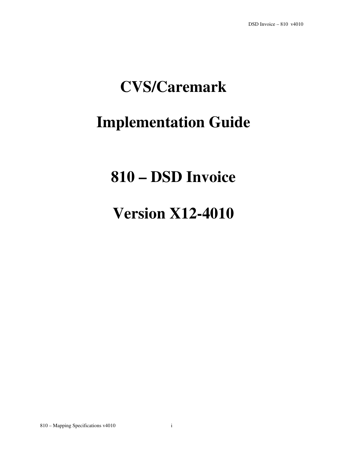# **CVS/Caremark**

# **Implementation Guide**

# **810 – DSD Invoice**

# **Version X12-4010**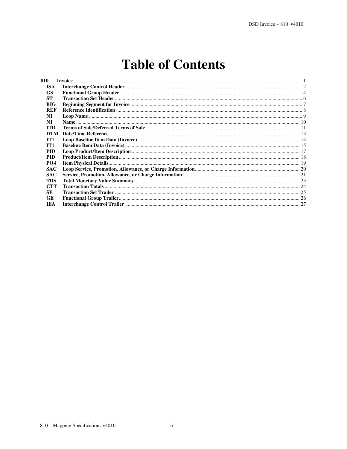## **Table of Contents**

| 810             |  |
|-----------------|--|
| <b>ISA</b>      |  |
| <b>GS</b>       |  |
| <b>ST</b>       |  |
| <b>BIG</b>      |  |
| REF             |  |
| $\mathbf{N}$ 1  |  |
| N1              |  |
| <b>ITD</b>      |  |
| <b>DTM</b>      |  |
| IT <sub>1</sub> |  |
| IT1             |  |
| <b>PID</b>      |  |
| <b>PID</b>      |  |
| <b>PO4</b>      |  |
| <b>SAC</b>      |  |
| <b>SAC</b>      |  |
| <b>TDS</b>      |  |
| <b>CTT</b>      |  |
| <b>SE</b>       |  |
| <b>GE</b>       |  |
| <b>IEA</b>      |  |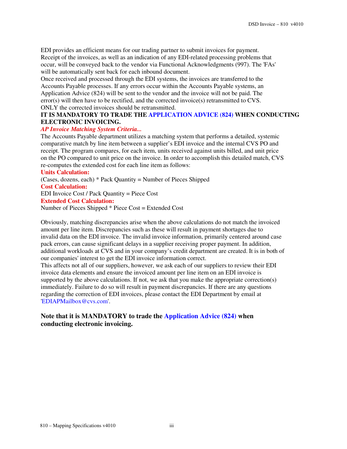EDI provides an efficient means for our trading partner to submit invoices for payment. Receipt of the invoices, as well as an indication of any EDI-related processing problems that occur, will be conveyed back to the vendor via Functional Acknowledgments (997). The 'FAs' will be automatically sent back for each inbound document.

Once received and processed through the EDI systems, the invoices are transferred to the Accounts Payable processes. If any errors occur within the Accounts Payable systems, an Application Advice (824) will be sent to the vendor and the invoice will not be paid. The error(s) will then have to be rectified, and the corrected invoice(s) retransmitted to CVS. ONLY the corrected invoices should be retransmitted.

### **IT IS MANDATORY TO TRADE THE APPLICATION ADVICE (824) WHEN CONDUCTING ELECTRONIC INVOICING.**

### *AP Invoice Matching System Criteria...*

The Accounts Payable department utilizes a matching system that performs a detailed, systemic comparative match by line item between a supplier's EDI invoice and the internal CVS PO and receipt. The program compares, for each item, units received against units billed, and unit price on the PO compared to unit price on the invoice. In order to accomplish this detailed match, CVS re-computes the extended cost for each line item as follows:

#### **Units Calculation:**

(Cases, dozens, each) \* Pack Quantity = Number of Pieces Shipped **Cost Calculation:**  EDI Invoice Cost / Pack Quantity = Piece Cost **Extended Cost Calculation:**  Number of Pieces Shipped \* Piece Cost = Extended Cost

Obviously, matching discrepancies arise when the above calculations do not match the invoiced amount per line item. Discrepancies such as these will result in payment shortages due to invalid data on the EDI invoice. The invalid invoice information, primarily centered around case pack errors, can cause significant delays in a supplier receiving proper payment. In addition, additional workloads at CVS and in your company's credit department are created. It is in both of our companies' interest to get the EDI invoice information correct.

This affects not all of our suppliers, however, we ask each of our suppliers to review their EDI invoice data elements and ensure the invoiced amount per line item on an EDI invoice is supported by the above calculations. If not, we ask that you make the appropriate correction(s) immediately. Failure to do so will result in payment discrepancies. If there are any questions regarding the correction of EDI invoices, please contact the EDI Department by email at 'EDIAPMailbox@cvs.com'.

### **Note that it is MANDATORY to trade the Application Advice (824) when conducting electronic invoicing.**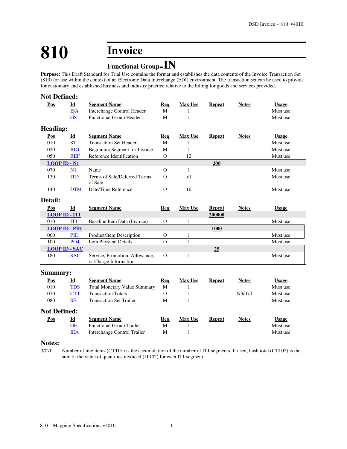# **810 Invoice**

## **Functional Group=IN**

**Purpose:** This Draft Standard for Trial Use contains the format and establishes the data contents of the Invoice Transaction Set (810) for use within the context of an Electronic Data Interchange (EDI) environment. The transaction set can be used to provide for customary and established business and industry practice relative to the billing for goods and services provided.

| <b>Not Defined:</b>  |                           |                                                         |               |                |               |              |              |
|----------------------|---------------------------|---------------------------------------------------------|---------------|----------------|---------------|--------------|--------------|
| Pos                  | Id                        | <b>Segment Name</b>                                     | Req           | <b>Max Use</b> | <b>Repeat</b> | <b>Notes</b> | <b>Usage</b> |
|                      | <b>ISA</b>                | Interchange Control Header                              | M             | $\mathbf{1}$   |               |              | Must use     |
|                      | <b>GS</b>                 | Functional Group Header                                 | M             | $\mathbf{1}$   |               |              | Must use     |
| Heading:             |                           |                                                         |               |                |               |              |              |
| Pos                  | $\underline{\mathbf{Id}}$ | <b>Segment Name</b>                                     | <u>Req</u>    | <b>Max Use</b> | Repeat        | <b>Notes</b> | <b>Usage</b> |
| 010                  | <b>ST</b>                 | <b>Transaction Set Header</b>                           | M             | 1              |               |              | Must use     |
| 020                  | <b>BIG</b>                | Beginning Segment for Invoice                           | M             | $\mathbf{1}$   |               |              | Must use     |
| 050                  | <b>REF</b>                | Reference Identification                                | $\Omega$      | 12             |               |              | Must use     |
| $LOOP$ ID - N1       |                           |                                                         |               |                | 200           |              |              |
| 070                  | N1                        | Name                                                    | $\mathbf{O}$  | 1              |               |              | Must use     |
| 130                  | <b>ITD</b>                | Terms of Sale/Deferred Terms<br>of Sale                 | $\mathbf O$   | >1             |               |              | Must use     |
| 140                  | <b>DTM</b>                | Date/Time Reference                                     | $\Omega$      | 10             |               |              | Must use     |
| Detail:              |                           |                                                         |               |                |               |              |              |
| Pos                  | Id                        | <b>Segment Name</b>                                     | Req           | <b>Max Use</b> | Repeat        | <b>Notes</b> | <b>Usage</b> |
| <b>LOOP ID - IT1</b> |                           |                                                         |               |                | 200000        |              |              |
| 010                  | IT1                       | Baseline Item Data (Invoice)                            | $\Omega$      | $\mathbf{1}$   |               |              | Must use     |
| <b>LOOP ID - PID</b> |                           |                                                         |               |                | 1000          |              |              |
| 060                  | <b>PID</b>                | Product/Item Description                                | $\mathcal{O}$ | 1              |               |              | Must use     |
| 100                  | PO <sub>4</sub>           | <b>Item Physical Details</b>                            | $\Omega$      | $\mathbf{1}$   |               |              | Must use     |
|                      | <b>LOOP ID - SAC</b>      |                                                         |               |                | 25            |              |              |
| 180                  | <b>SAC</b>                | Service, Promotion, Allowance,<br>or Charge Information | $\Omega$      | $\mathbf{1}$   |               |              | Must use     |
| <b>Summary:</b>      |                           |                                                         |               |                |               |              |              |
| Pos                  | $\underline{\mathbf{Id}}$ | <b>Segment Name</b>                                     | <b>Req</b>    | <b>Max Use</b> | <b>Repeat</b> | <b>Notes</b> | <b>Usage</b> |
| 010                  | <b>TDS</b>                | <b>Total Monetary Value Summary</b>                     | M             | $\mathbf{1}$   |               |              | Must use     |
| 070                  | <b>CTT</b>                | <b>Transaction Totals</b>                               | $\Omega$      | $\mathbf{1}$   |               | N3/070       | Must use     |
| 080                  | <b>SE</b>                 | <b>Transaction Set Trailer</b>                          | M             | 1              |               |              | Must use     |
| <b>Not Defined:</b>  |                           |                                                         |               |                |               |              |              |
| <b>Pos</b>           | $\underline{\mathbf{Id}}$ | <b>Segment Name</b>                                     | Req           | Max Use        | <b>Repeat</b> | <b>Notes</b> | <b>Usage</b> |
|                      | <b>GE</b>                 | <b>Functional Group Trailer</b>                         | M             | $\mathbf{1}$   |               |              | Must use     |
|                      | <b>IEA</b>                | Interchange Control Trailer                             | M             | $\mathbf{1}$   |               |              | Must use     |

#### **Notes:**

3/070 Number of line items (CTT01) is the accumulation of the number of IT1 segments. If used, hash total (CTT02) is the sum of the value of quantities invoiced (IT102) for each IT1 segment.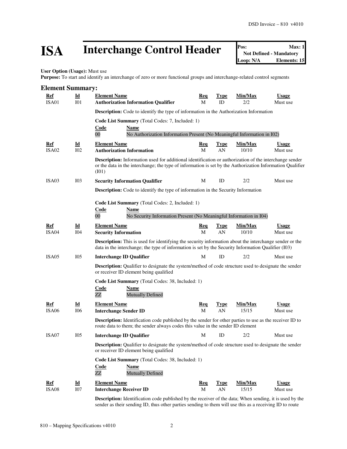# **ISA** Interchange Control Header **Pos:** Max: 1<br>
Mot Defined - Mandatory<br>
Loop: N/A Elements: 15

**User Option (Usage):** Must use

Purpose: To start and identify an interchange of zero or more functional groups and interchange-related control segments

| <b>Element Summary:</b>    |                                              |                                                                                                                                                                                                                                     |                 |                   |                         |                          |
|----------------------------|----------------------------------------------|-------------------------------------------------------------------------------------------------------------------------------------------------------------------------------------------------------------------------------------|-----------------|-------------------|-------------------------|--------------------------|
| <b>Ref</b>                 | $\underline{\mathbf{Id}}$                    | <b>Element Name</b>                                                                                                                                                                                                                 | <u>Req</u>      | <b>Type</b>       | Min/Max                 | <b>Usage</b>             |
| ISA01                      | I <sub>01</sub>                              | <b>Authorization Information Qualifier</b>                                                                                                                                                                                          | M               | ID                | 2/2                     | Must use                 |
|                            |                                              | <b>Description:</b> Code to identify the type of information in the Authorization Information                                                                                                                                       |                 |                   |                         |                          |
|                            |                                              | Code List Summary (Total Codes: 7, Included: 1)                                                                                                                                                                                     |                 |                   |                         |                          |
|                            |                                              | Code<br><b>Name</b><br>$00\,$                                                                                                                                                                                                       |                 |                   |                         |                          |
|                            |                                              | No Authorization Information Present (No Meaningful Information in I02)                                                                                                                                                             |                 |                   |                         |                          |
| <u>Ref</u><br><b>ISA02</b> | $\underline{\mathbf{Id}}$<br>I <sub>02</sub> | <b>Element Name</b><br><b>Authorization Information</b>                                                                                                                                                                             | <u>Req</u><br>M | <b>Type</b><br>AN | <u>Min/Max</u><br>10/10 | Usage<br>Must use        |
|                            |                                              | <b>Description:</b> Information used for additional identification or authorization of the interchange sender<br>or the data in the interchange; the type of information is set by the Authorization Information Qualifier<br>(101) |                 |                   |                         |                          |
| ISA <sub>03</sub>          | I03                                          | <b>Security Information Qualifier</b>                                                                                                                                                                                               | М               | ID                | 2/2                     | Must use                 |
|                            |                                              | <b>Description:</b> Code to identify the type of information in the Security Information                                                                                                                                            |                 |                   |                         |                          |
|                            |                                              | Code List Summary (Total Codes: 2, Included: 1)<br>Code<br>Name<br>$00\,$<br>No Security Information Present (No Meaningful Information in I04)                                                                                     |                 |                   |                         |                          |
| Ref                        | $\underline{\mathbf{Id}}$                    | <b>Element Name</b>                                                                                                                                                                                                                 | <b>Req</b>      | <b>Type</b>       | Min/Max                 | <b>Usage</b>             |
| ISA04                      | <b>I04</b>                                   | <b>Security Information</b>                                                                                                                                                                                                         | M               | AN                | 10/10                   | Must use                 |
|                            |                                              | <b>Description:</b> This is used for identifying the security information about the interchange sender or the<br>data in the interchange; the type of information is set by the Security Information Qualifier (I03)                |                 |                   |                         |                          |
| ISA05                      | I <sub>05</sub>                              | <b>Interchange ID Qualifier</b>                                                                                                                                                                                                     | M               | ID                | 2/2                     | Must use                 |
|                            |                                              | <b>Description:</b> Qualifier to designate the system/method of code structure used to designate the sender<br>or receiver ID element being qualified                                                                               |                 |                   |                         |                          |
|                            |                                              | Code List Summary (Total Codes: 38, Included: 1)<br>Code<br><b>Name</b><br><b>Mutually Defined</b><br>ZZ                                                                                                                            |                 |                   |                         |                          |
| Ref<br>ISA <sub>06</sub>   | Id<br>I06                                    | <b>Element Name</b><br><b>Interchange Sender ID</b>                                                                                                                                                                                 | <u>Req</u><br>M | <b>Type</b><br>AN | Min/Max<br>15/15        | <b>Usage</b><br>Must use |
|                            |                                              | <b>Description:</b> Identification code published by the sender for other parties to use as the receiver ID to<br>route data to them; the sender always codes this value in the sender ID element                                   |                 |                   |                         |                          |
| ISA07                      | I05                                          | <b>Interchange ID Qualifier</b>                                                                                                                                                                                                     | М               | ID                | 2/2                     | Must use                 |
|                            |                                              | <b>Description:</b> Qualifier to designate the system/method of code structure used to designate the sender<br>or receiver ID element being qualified                                                                               |                 |                   |                         |                          |
|                            |                                              | Code List Summary (Total Codes: 38, Included: 1)<br><b>Code</b><br><b>Name</b><br>ZZ<br><b>Mutually Defined</b>                                                                                                                     |                 |                   |                         |                          |
| Ref                        | $\underline{\mathbf{Id}}$                    | <b>Element Name</b>                                                                                                                                                                                                                 | <u>Req</u>      | <b>Type</b>       | Min/Max                 | <b>Usage</b>             |
| ISA08                      | I07                                          | <b>Interchange Receiver ID</b>                                                                                                                                                                                                      | M               | AN                | 15/15                   | Must use                 |
|                            |                                              | <b>Description:</b> Identification code published by the receiver of the data; When sending, it is used by the<br>sender as their sending ID, thus other parties sending to them will use this as a receiving ID to route           |                 |                   |                         |                          |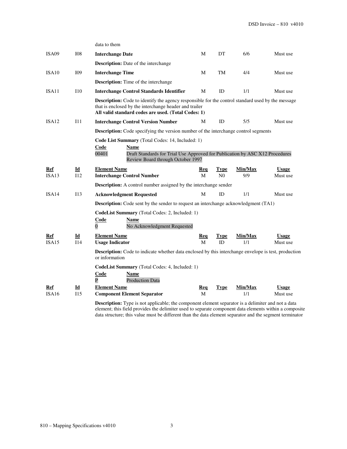|              |             | data to them                                                                                                                                                                                                              |            |                        |                |                          |
|--------------|-------------|---------------------------------------------------------------------------------------------------------------------------------------------------------------------------------------------------------------------------|------------|------------------------|----------------|--------------------------|
| ISA09        | <b>I08</b>  | <b>Interchange Date</b>                                                                                                                                                                                                   | M          | DT                     | 6/6            | Must use                 |
|              |             | <b>Description:</b> Date of the interchange                                                                                                                                                                               |            |                        |                |                          |
| ISA10        | I09         | <b>Interchange Time</b>                                                                                                                                                                                                   | М          | TM                     | 4/4            | Must use                 |
|              |             | <b>Description:</b> Time of the interchange                                                                                                                                                                               |            |                        |                |                          |
| ISA11        | <b>I</b> 10 | <b>Interchange Control Standards Identifier</b>                                                                                                                                                                           | М          | ID                     | 1/1            | Must use                 |
|              |             | <b>Description:</b> Code to identify the agency responsible for the control standard used by the message<br>that is enclosed by the interchange header and trailer<br>All valid standard codes are used. (Total Codes: 1) |            |                        |                |                          |
| ISA12        | I11         | <b>Interchange Control Version Number</b>                                                                                                                                                                                 | М          | ID                     | 5/5            | Must use                 |
|              |             | Description: Code specifying the version number of the interchange control segments                                                                                                                                       |            |                        |                |                          |
|              |             | Code List Summary (Total Codes: 14, Included: 1)<br>Code<br><b>Name</b><br>Draft Standards for Trial Use Approved for Publication by ASC X12 Procedures<br>00401<br>Review Board through October 1997                     |            |                        |                |                          |
| Ref<br>ISA13 | Id<br>112   | <b>Element Name</b><br><b>Interchange Control Number</b>                                                                                                                                                                  | Req<br>M   | Type<br>N <sub>0</sub> | Min/Max<br>9/9 | <b>Usage</b><br>Must use |
|              |             | <b>Description:</b> A control number assigned by the interchange sender                                                                                                                                                   |            |                        |                |                          |
| ISA14        | 113         | <b>Acknowledgment Requested</b>                                                                                                                                                                                           | M          | ID                     | 1/1            | Must use                 |
|              |             | <b>Description:</b> Code sent by the sender to request an interchange acknowledgment (TA1)                                                                                                                                |            |                        |                |                          |
|              |             | <b>CodeList Summary</b> (Total Codes: 2, Included: 1)<br>Code<br><b>Name</b><br>$\overline{0}$<br>No Acknowledgment Requested                                                                                             |            |                        |                |                          |
| Ref          | Id          | <b>Element Name</b>                                                                                                                                                                                                       | Req        | Type                   | Min/Max        | <b>Usage</b>             |
| ISA15        | I14         | <b>Usage Indicator</b>                                                                                                                                                                                                    | М          | ID                     | 1/1            | Must use                 |
|              |             | <b>Description:</b> Code to indicate whether data enclosed by this interchange envelope is test, production<br>or information                                                                                             |            |                        |                |                          |
|              |             | CodeList Summary (Total Codes: 4, Included: 1)<br>Code<br>Name<br>$\overline{P}$<br><b>Production Data</b>                                                                                                                |            |                        |                |                          |
| Ref          | Id          | <b>Element Name</b>                                                                                                                                                                                                       | <u>Req</u> | <b>Type</b>            | Min/Max        | <b>Usage</b>             |
| ISA16        | I15         | <b>Component Element Separator</b>                                                                                                                                                                                        | М          |                        | 1/1            | Must use                 |
|              |             | <b>Description:</b> Type is not applicable; the component element separator is a delimiter and not a data<br>alamente this field nuovidas the delimitar used to senarcte component data elements within a composit        |            |                        |                |                          |

element; this field provides the delimiter used to separate component data elements within a composite data structure; this value must be different than the data element separator and the segment terminator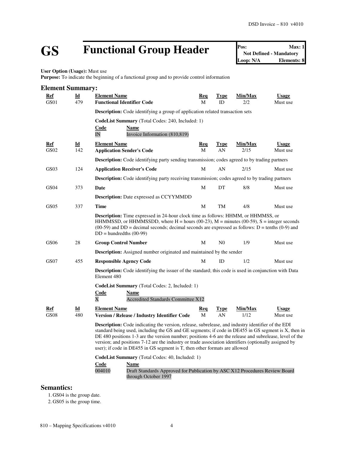# **GS Functional Group Header Pos:** Max: 1<br>Not Defined - Mandatory<br>Loop: N/A<br>Elements: 8

**Not Defined - Mandatory Elements: 8** 

**User Option (Usage):** Must use

**Purpose:** To indicate the beginning of a functional group and to provide control information

| <b>Element Summary:</b> |                                  |                                                                                                                                                                                                                                                                                                                                                                                                                                                                                                                   |                 |                   |                 |                          |
|-------------------------|----------------------------------|-------------------------------------------------------------------------------------------------------------------------------------------------------------------------------------------------------------------------------------------------------------------------------------------------------------------------------------------------------------------------------------------------------------------------------------------------------------------------------------------------------------------|-----------------|-------------------|-----------------|--------------------------|
| Ref<br>GS01             | $\underline{\mathbf{Id}}$<br>479 | <b>Element Name</b><br><b>Functional Identifier Code</b>                                                                                                                                                                                                                                                                                                                                                                                                                                                          | Req<br>M        | Type<br>ID        | Min/Max<br>2/2  | <b>Usage</b><br>Must use |
|                         |                                  | <b>Description:</b> Code identifying a group of application related transaction sets                                                                                                                                                                                                                                                                                                                                                                                                                              |                 |                   |                 |                          |
|                         |                                  | CodeList Summary (Total Codes: 240, Included: 1)                                                                                                                                                                                                                                                                                                                                                                                                                                                                  |                 |                   |                 |                          |
|                         |                                  | Code<br>Name<br>IN<br>Invoice Information (810,819)                                                                                                                                                                                                                                                                                                                                                                                                                                                               |                 |                   |                 |                          |
| Ref<br>GS02             | Id<br>142                        | <b>Element Name</b><br><b>Application Sender's Code</b>                                                                                                                                                                                                                                                                                                                                                                                                                                                           | <b>Req</b><br>M | Type<br>AN        | Min/Max<br>2/15 | <b>Usage</b><br>Must use |
|                         |                                  | <b>Description:</b> Code identifying party sending transmission; codes agreed to by trading partners                                                                                                                                                                                                                                                                                                                                                                                                              |                 |                   |                 |                          |
| GS03                    | 124                              | <b>Application Receiver's Code</b>                                                                                                                                                                                                                                                                                                                                                                                                                                                                                | M               | AN                | 2/15            | Must use                 |
|                         |                                  | <b>Description:</b> Code identifying party receiving transmission; codes agreed to by trading partners                                                                                                                                                                                                                                                                                                                                                                                                            |                 |                   |                 |                          |
| GS <sub>04</sub>        | 373                              | Date                                                                                                                                                                                                                                                                                                                                                                                                                                                                                                              | M               | DT                | 8/8             | Must use                 |
|                         |                                  | <b>Description:</b> Date expressed as CCYYMMDD                                                                                                                                                                                                                                                                                                                                                                                                                                                                    |                 |                   |                 |                          |
| GS <sub>05</sub>        | 337                              | <b>Time</b>                                                                                                                                                                                                                                                                                                                                                                                                                                                                                                       | M               | TM                | 4/8             | Must use                 |
|                         |                                  | <b>Description:</b> Time expressed in 24-hour clock time as follows: HHMM, or HHMMSS, or<br>HHMMSSD, or HHMMSSDD, where H = hours (00-23), $M =$ minutes (00-59), S = integer seconds<br>$(00-59)$ and DD = decimal seconds; decimal seconds are expressed as follows: D = tenths $(0-9)$ and<br>$DD = hundredths (00-99)$                                                                                                                                                                                        |                 |                   |                 |                          |
| GS06                    | 28                               | <b>Group Control Number</b>                                                                                                                                                                                                                                                                                                                                                                                                                                                                                       | M               | N <sub>0</sub>    | 1/9             | Must use                 |
|                         |                                  | <b>Description:</b> Assigned number originated and maintained by the sender                                                                                                                                                                                                                                                                                                                                                                                                                                       |                 |                   |                 |                          |
| GS07                    | 455                              | <b>Responsible Agency Code</b>                                                                                                                                                                                                                                                                                                                                                                                                                                                                                    | М               | ID                | 1/2             | Must use                 |
|                         |                                  | <b>Description:</b> Code identifying the issuer of the standard; this code is used in conjunction with Data<br>Element 480                                                                                                                                                                                                                                                                                                                                                                                        |                 |                   |                 |                          |
|                         |                                  | CodeList Summary (Total Codes: 2, Included: 1)<br><b>Code</b><br>Name<br>$\overline{\text{X}}$<br>Accredited Standards Committee X12                                                                                                                                                                                                                                                                                                                                                                              |                 |                   |                 |                          |
| Ref<br><b>GS08</b>      | $\underline{\mathbf{Id}}$<br>480 | <b>Element Name</b><br>Version / Release / Industry Identifier Code                                                                                                                                                                                                                                                                                                                                                                                                                                               | <u>Req</u><br>M | <b>Type</b><br>AN | Min/Max<br>1/12 | <b>Usage</b><br>Must use |
|                         |                                  | <b>Description:</b> Code indicating the version, release, subrelease, and industry identifier of the EDI<br>standard being used, including the GS and GE segments; if code in DE455 in GS segment is X, then in<br>DE 480 positions 1-3 are the version number; positions 4-6 are the release and subrelease, level of the<br>version; and positions 7-12 are the industry or trade association identifiers (optionally assigned by<br>user); if code in DE455 in GS segment is T, then other formats are allowed |                 |                   |                 |                          |
|                         |                                  | CodeList Summary (Total Codes: 40, Included: 1)                                                                                                                                                                                                                                                                                                                                                                                                                                                                   |                 |                   |                 |                          |
|                         |                                  | <b>Code</b><br><b>Name</b><br>004010<br>Draft Standards Approved for Publication by ASC X12 Procedures Review Board<br>through October 1997                                                                                                                                                                                                                                                                                                                                                                       |                 |                   |                 |                          |

### **Semantics:**

1. GS04 is the group date.

2. GS05 is the group time.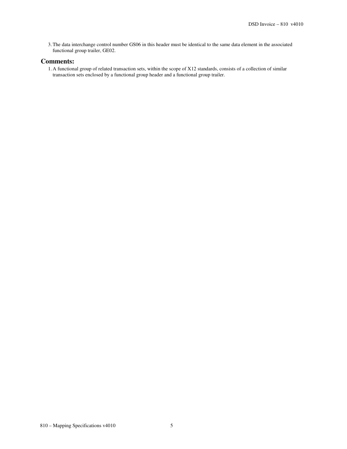3.The data interchange control number GS06 in this header must be identical to the same data element in the associated functional group trailer, GE02.

#### **Comments:**

1. A functional group of related transaction sets, within the scope of X12 standards, consists of a collection of similar transaction sets enclosed by a functional group header and a functional group trailer.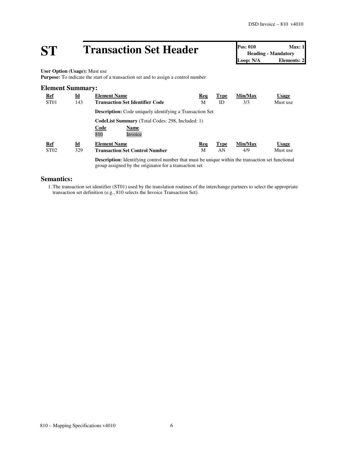# **ST Transaction Set Header Pos: 010 Max: 1**<br> **Pos: 010 Max: 1**<br> **Loop: N/A Elements: 2**

**Heading - Mandatory Elements: 2** 

**User Option (Usage):** Must use

**Purpose:** To indicate the start of a transaction set and to assign a control number

### **Element Summary: Ref Id Element Name Req Type Min/Max Usage** ST01 143 **Transaction Set Identifier Code** M ID 3/3 Must use **Description:** Code uniquely identifying a Transaction Set **CodeList Summary** (Total Codes: 298, Included: 1) **Code Name**<br>810 **Invoic** Invoice **Ref Id Element Name Req Type Min/Max Usage** ST02 329 **Transaction Set Control Number** M AN 4/9 Must use **Description:** Identifying control number that must be unique within the transaction set functional

group assigned by the originator for a transaction set

#### **Semantics:**

1.The transaction set identifier (ST01) used by the translation routines of the interchange partners to select the appropriate transaction set definition (e.g., 810 selects the Invoice Transaction Set).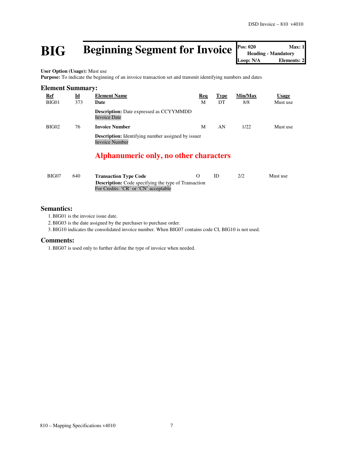## **BIG** Beginning Segment for Invoice

| Pos: 020                   | Max: 1             |
|----------------------------|--------------------|
| <b>Heading - Mandatory</b> |                    |
| Loop: N/A                  | <b>Elements: 2</b> |

**User Option (Usage):** Must use

Purpose: To indicate the beginning of an invoice transaction set and transmit identifying numbers and dates

| <b>Element Summary:</b> |                                  |                                                                                    |          |                   |                |                          |  |  |
|-------------------------|----------------------------------|------------------------------------------------------------------------------------|----------|-------------------|----------------|--------------------------|--|--|
| <u>Ref</u><br>BIG01     | $\underline{\mathbf{Id}}$<br>373 | <b>Element Name</b><br>Date                                                        | Req<br>M | <b>Type</b><br>DT | Min/Max<br>8/8 | <b>Usage</b><br>Must use |  |  |
|                         |                                  | <b>Description:</b> Date expressed as CCYYMMDD<br><b>Invoice Date</b>              |          |                   |                |                          |  |  |
| BIG02                   | 76                               | <b>Invoice Number</b>                                                              | M        | AN                | 1/22           | Must use                 |  |  |
|                         |                                  | <b>Description:</b> Identifying number assigned by issuer<br><b>Invoice Number</b> |          |                   |                |                          |  |  |
|                         |                                  | Alphanumeric only, no other characters                                             |          |                   |                |                          |  |  |
|                         |                                  |                                                                                    |          |                   |                |                          |  |  |

| BIG07 | 640 | <b>Transaction Type Code</b>                                |  | Must use |
|-------|-----|-------------------------------------------------------------|--|----------|
|       |     | <b>Description:</b> Code specifying the type of Transaction |  |          |
|       |     | For Credits: 'CR' or 'CN' acceptable                        |  |          |

#### **Semantics:**

1.BIG01 is the invoice issue date.

2.BIG03 is the date assigned by the purchaser to purchase order.

3.BIG10 indicates the consolidated invoice number. When BIG07 contains code CI, BIG10 is not used.

#### **Comments:**

1.BIG07 is used only to further define the type of invoice when needed.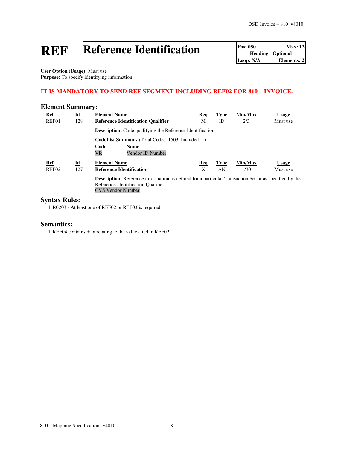# **REF Reference Identification Pos: 050 Max: 12**<br> **Loop: N/A Elements: 2**<br> **Loop: N/A Elements: 2**

**Heading - Optional Elements: 2** 

**User Option (Usage):** Must use **Purpose:** To specify identifying information

### **IT IS MANDATORY TO SEND REF SEGMENT INCLUDING REF02 FOR 810 – INVOICE.**

#### **Element Summary:**

| <b>Ref</b>        | $\underline{\mathbf{Id}}$ | <b>Element Name</b>                                                                                          | <b>Req</b> | <b>Type</b> | Min/Max | <b>Usage</b> |
|-------------------|---------------------------|--------------------------------------------------------------------------------------------------------------|------------|-------------|---------|--------------|
| REF01             | 128                       | <b>Reference Identification Qualifier</b>                                                                    | М          | ID          | 2/3     | Must use     |
|                   |                           | <b>Description:</b> Code qualifying the Reference Identification                                             |            |             |         |              |
|                   |                           | <b>CodeList Summary</b> (Total Codes: 1503, Included: 1)                                                     |            |             |         |              |
|                   |                           | Code<br><b>Name</b>                                                                                          |            |             |         |              |
|                   |                           | <b>VR</b><br>Vendor ID Number                                                                                |            |             |         |              |
| <b>Ref</b>        | $\underline{\mathbf{Id}}$ | <b>Element Name</b>                                                                                          | Req        | <b>Type</b> | Min/Max | <b>Usage</b> |
| REF <sub>02</sub> | 127                       | <b>Reference Identification</b>                                                                              | X          | AN          | 1/30    | Must use     |
|                   |                           | <b>Description:</b> Reference information as defined for a particular Transaction Set or as specified by the |            |             |         |              |
|                   |                           | Reference Identification Qualifier                                                                           |            |             |         |              |
|                   |                           | <b>CVS Vendor Number</b>                                                                                     |            |             |         |              |

### **Syntax Rules:**

1.R0203 - At least one of REF02 or REF03 is required.

#### **Semantics:**

1.REF04 contains data relating to the value cited in REF02.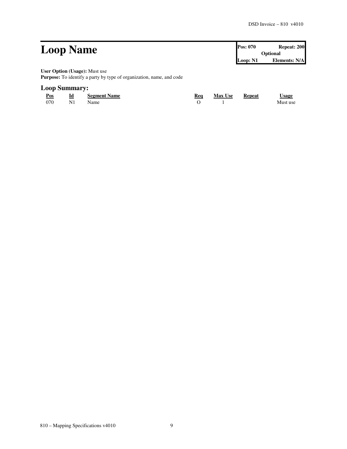| <b>Loop Name</b>                                                     | <b>Pos: 070</b> | Repeat: 200          |  |
|----------------------------------------------------------------------|-----------------|----------------------|--|
|                                                                      | <b>Optional</b> |                      |  |
|                                                                      | Loop: N1        | <b>Elements: N/A</b> |  |
| <b>User Option (Usage):</b> Must use                                 |                 |                      |  |
| Purpose: To identify a party by type of organization, name, and code |                 |                      |  |

### **Loop Summary:**

| Pos<br>$\sim$ | Id             | <b>Segment Name</b> | Req | <b>Max Use</b> | Repeat | <b>Usage</b> |
|---------------|----------------|---------------------|-----|----------------|--------|--------------|
| 070           | N <sub>1</sub> | Name                |     |                |        | Must use     |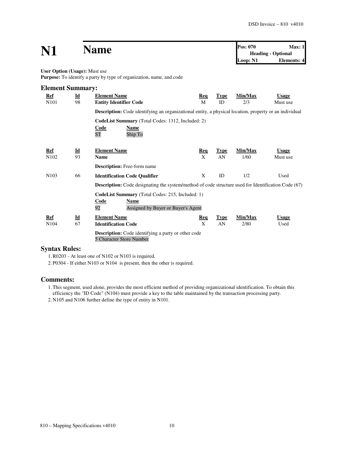| N1                            |                                 | <b>Name</b>                                                                                                                                                                                                                |                 |                   | Pos: 070<br>Loop: N1 | Max:1<br><b>Heading - Optional</b><br><b>Elements: 4</b> |
|-------------------------------|---------------------------------|----------------------------------------------------------------------------------------------------------------------------------------------------------------------------------------------------------------------------|-----------------|-------------------|----------------------|----------------------------------------------------------|
| User Option (Usage): Must use |                                 | Purpose: To identify a party by type of organization, name, and code                                                                                                                                                       |                 |                   |                      |                                                          |
| <b>Element Summary:</b>       |                                 |                                                                                                                                                                                                                            |                 |                   |                      |                                                          |
| Ref<br>N <sub>101</sub>       | $\underline{\mathbf{Id}}$<br>98 | <b>Element Name</b><br><b>Entity Identifier Code</b>                                                                                                                                                                       | Req<br>M        | <b>Type</b><br>ID | Min/Max<br>2/3       | <b>Usage</b><br>Must use                                 |
|                               |                                 | <b>Description:</b> Code identifying an organizational entity, a physical location, property or an individual<br><b>CodeList Summary</b> (Total Codes: 1312, Included: 2)<br>Name<br>Code<br>Ship To<br><b>ST</b>          |                 |                   |                      |                                                          |
| Ref<br>N102                   | $\underline{\mathbf{Id}}$<br>93 | <b>Element Name</b><br><b>Name</b>                                                                                                                                                                                         | <u>Req</u><br>X | <b>Type</b><br>AN | Min/Max<br>1/60      | <b>Usage</b><br>Must use                                 |
|                               |                                 | Description: Free-form name                                                                                                                                                                                                |                 |                   |                      |                                                          |
| N <sub>103</sub>              | 66                              | <b>Identification Code Qualifier</b>                                                                                                                                                                                       | X               | ID                | 1/2                  | Used                                                     |
|                               |                                 | <b>Description:</b> Code designating the system/method of code structure used for Identification Code (67)<br>CodeList Summary (Total Codes: 215, Included: 1)<br>Code<br>Name<br>92<br>Assigned by Buyer or Buyer's Agent |                 |                   |                      |                                                          |
| Ref<br>N104                   | $\underline{\mathbf{Id}}$<br>67 | <b>Element Name</b><br><b>Identification Code</b>                                                                                                                                                                          | Req<br>X        | <b>Type</b><br>AN | Min/Max<br>2/80      | <b>Usage</b><br>Used                                     |
|                               |                                 | <b>Description:</b> Code identifying a party or other code<br>5 Character Store Number                                                                                                                                     |                 |                   |                      |                                                          |

#### **Syntax Rules:**

1.R0203 - At least one of N102 or N103 is required.

2. P0304 - If either N103 or N104 is present, then the other is required.

#### **Comments:**

1.This segment, used alone, provides the most efficient method of providing organizational identification. To obtain this efficiency the "ID Code" (N104) must provide a key to the table maintained by the transaction processing party.

2. N105 and N106 further define the type of entity in N101.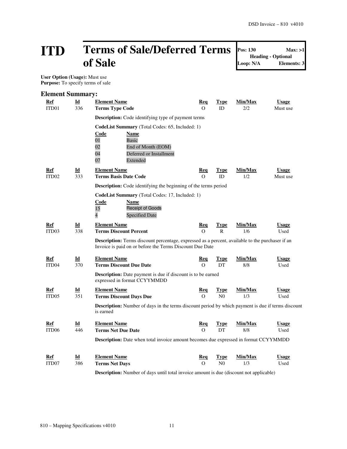## **ITD Terms of Sale/Deferred Terms of Sale**

**Pos: 130 Max: >1**

**Heading - Optional Loop: N/A Elements: 3**

 **User Option (Usage):** Must use **Purpose:** To specify terms of sale

| <b>Element Summary:</b>  |                           |                                                                                                                                                                     |                 |                      |                |                      |
|--------------------------|---------------------------|---------------------------------------------------------------------------------------------------------------------------------------------------------------------|-----------------|----------------------|----------------|----------------------|
| Ref                      | Id                        | <b>Element Name</b>                                                                                                                                                 | <u>Req</u>      | <b>Type</b>          | Min/Max        | <b>Usage</b>         |
| ITD01                    | 336                       | <b>Terms Type Code</b>                                                                                                                                              | $\Omega$        | ID                   | 2/2            | Must use             |
|                          |                           | <b>Description:</b> Code identifying type of payment terms                                                                                                          |                 |                      |                |                      |
|                          |                           | CodeList Summary (Total Codes: 65, Included: 1)                                                                                                                     |                 |                      |                |                      |
|                          |                           | <u>Code</u><br>Name                                                                                                                                                 |                 |                      |                |                      |
|                          |                           | 01<br><b>Basic</b><br>02<br>End of Month (EOM)                                                                                                                      |                 |                      |                |                      |
|                          |                           | 04<br>Deferred or Installment                                                                                                                                       |                 |                      |                |                      |
|                          |                           | 07<br>Extended                                                                                                                                                      |                 |                      |                |                      |
| Ref                      | Id                        | <b>Element Name</b>                                                                                                                                                 | Req             | <b>Type</b>          | Min/Max        | <b>Usage</b>         |
| ITD <sub>02</sub>        | 333                       | <b>Terms Basis Date Code</b>                                                                                                                                        | $\Omega$        | ID                   | 1/2            | Must use             |
|                          |                           | Description: Code identifying the beginning of the terms period                                                                                                     |                 |                      |                |                      |
|                          |                           | CodeList Summary (Total Codes: 17, Included: 1)                                                                                                                     |                 |                      |                |                      |
|                          |                           | Code<br>Name                                                                                                                                                        |                 |                      |                |                      |
|                          |                           | <b>Receipt of Goods</b><br>15<br>$\overline{4}$<br><b>Specified Date</b>                                                                                            |                 |                      |                |                      |
|                          |                           |                                                                                                                                                                     |                 |                      |                |                      |
| Ref<br>ITD <sub>03</sub> | Id<br>338                 | <b>Element Name</b><br><b>Terms Discount Percent</b>                                                                                                                | Req<br>$\Omega$ | Type<br>$\mathsf{R}$ | Min/Max<br>1/6 | <b>Usage</b><br>Used |
|                          |                           |                                                                                                                                                                     |                 |                      |                |                      |
|                          |                           | <b>Description:</b> Terms discount percentage, expressed as a percent, available to the purchaser if an<br>Invoice is paid on or before the Terms Discount Due Date |                 |                      |                |                      |
| Ref                      | $\underline{\mathbf{Id}}$ | <b>Element Name</b>                                                                                                                                                 | <b>Req</b>      | <b>Type</b>          | Min/Max        | <b>Usage</b>         |
| ITD <sub>04</sub>        | 370                       | <b>Terms Discount Due Date</b>                                                                                                                                      | $\Omega$        | DT                   | 8/8            | Used                 |
|                          |                           | <b>Description:</b> Date payment is due if discount is to be earned<br>expressed in format CCYYMMDD                                                                 |                 |                      |                |                      |
| Ref                      | $\underline{\mathbf{Id}}$ | <b>Element Name</b>                                                                                                                                                 | <b>Req</b>      | <b>Type</b>          | Min/Max        | <b>Usage</b>         |
| ITD <sub>05</sub>        | 351                       | <b>Terms Discount Days Due</b>                                                                                                                                      | $\Omega$        | N <sub>0</sub>       | 1/3            | Used                 |
|                          |                           | <b>Description:</b> Number of days in the terms discount period by which payment is due if terms discount<br>is earned                                              |                 |                      |                |                      |
| Ref                      | $\underline{\mathbf{Id}}$ | <b>Element Name</b>                                                                                                                                                 | <b>Req</b>      | <u>Type</u>          | Min/Max        | <b>Usage</b>         |
| ITD <sub>06</sub>        | 446                       | <b>Terms Net Due Date</b>                                                                                                                                           | $\Omega$        | DT                   | 8/8            | Used                 |
|                          |                           | Description: Date when total invoice amount becomes due expressed in format CCYYMMDD                                                                                |                 |                      |                |                      |
|                          |                           |                                                                                                                                                                     |                 |                      |                |                      |
| Ref                      | Id                        | <b>Element Name</b>                                                                                                                                                 | Req             | Type                 | Min/Max        | <b>Usage</b>         |
| ITD07                    | 386                       | <b>Terms Net Days</b>                                                                                                                                               | $\Omega$        | N <sub>0</sub>       | 1/3            | Used                 |
|                          |                           |                                                                                                                                                                     |                 |                      |                |                      |

**Description:** Number of days until total invoice amount is due (discount not applicable)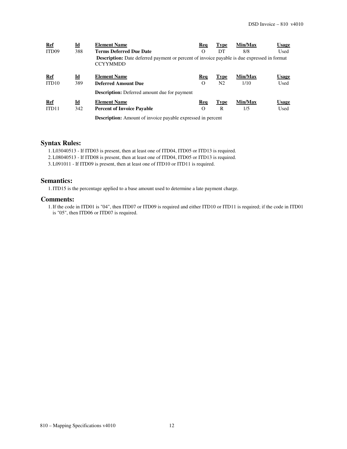| Ref               | $\underline{\mathbf{Id}}$ | <b>Element Name</b>                                                                                                   | Req      | <b>Type</b>    | Min/Max | <b>Usage</b> |
|-------------------|---------------------------|-----------------------------------------------------------------------------------------------------------------------|----------|----------------|---------|--------------|
| ITD <sub>09</sub> | 388                       | <b>Terms Deferred Due Date</b>                                                                                        | $\Omega$ | DT             | 8/8     | Used         |
|                   |                           | <b>Description:</b> Date deferred payment or percent of invoice payable is due expressed in format<br><b>CCYYMMDD</b> |          |                |         |              |
| Ref               | $\underline{\mathbf{Id}}$ | <b>Element Name</b>                                                                                                   | Req      | <b>Type</b>    | Min/Max | <u>Usage</u> |
| ITD <sub>10</sub> | 389                       | <b>Deferred Amount Due</b>                                                                                            | $\Omega$ | N <sub>2</sub> | 1/10    | Used         |
|                   |                           | <b>Description:</b> Deferred amount due for payment                                                                   |          |                |         |              |
| Ref               | $\underline{\mathbf{Id}}$ | <b>Element Name</b>                                                                                                   | Req      | <b>Type</b>    | Min/Max | <u>Usage</u> |
| ITD <sub>11</sub> | 342                       | <b>Percent of Invoice Payable</b>                                                                                     | $\Omega$ | R              | 1/5     | Used         |
|                   |                           | <b>Description:</b> Amount of invoice payable expressed in percent                                                    |          |                |         |              |

#### **Syntax Rules:**

1.L03040513 - If ITD03 is present, then at least one of ITD04, ITD05 or ITD13 is required.

2.L08040513 - If ITD08 is present, then at least one of ITD04, ITD05 or ITD13 is required.

3.L091011 - If ITD09 is present, then at least one of ITD10 or ITD11 is required.

#### **Semantics:**

1.ITD15 is the percentage applied to a base amount used to determine a late payment charge.

#### **Comments:**

1.If the code in ITD01 is "04", then ITD07 or ITD09 is required and either ITD10 or ITD11 is required; if the code in ITD01 is "05", then ITD06 or ITD07 is required.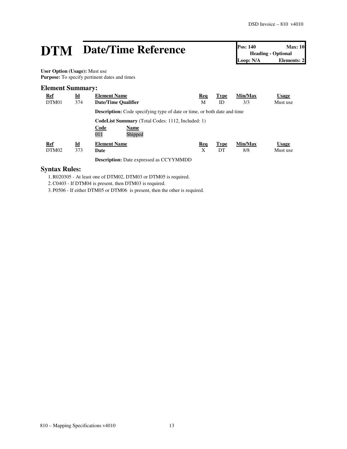# **DTM** Date/Time Reference **Pos:** 140 Max: 10<br>
Loop: N/A **Date/Time Reference**

**Heading - Optional Elements: 2** 

**User Option (Usage):** Must use **Purpose:** To specify pertinent dates and times

#### **Element Summary:**

| <b>Ref</b><br>DTM01 | $\underline{\mathbf{Id}}$<br>374 | <b>Element Name</b><br>Date/Time Qualifier                                                 | Req<br>М | <b>Type</b><br>ID | Min/Max<br>3/3 | <b>Usage</b><br>Must use |
|---------------------|----------------------------------|--------------------------------------------------------------------------------------------|----------|-------------------|----------------|--------------------------|
|                     |                                  | <b>Description:</b> Code specifying type of date or time, or both date and time            |          |                   |                |                          |
|                     |                                  | <b>CodeList Summary</b> (Total Codes: 1112, Included: 1)<br>Code<br>Name<br>011<br>Shipped |          |                   |                |                          |
| <b>Ref</b><br>DTM02 | Id<br>373                        | <b>Element Name</b><br>Date                                                                | Req<br>Х | <b>Type</b><br>DT | Min/Max<br>8/8 | Usage<br>Must use        |
|                     |                                  | <b>Description:</b> Date expressed as CCYYMMDD                                             |          |                   |                |                          |

### **Syntax Rules:**

1.R020305 - At least one of DTM02, DTM03 or DTM05 is required.

2.C0403 - If DTM04 is present, then DTM03 is required.

3. P0506 - If either DTM05 or DTM06 is present, then the other is required.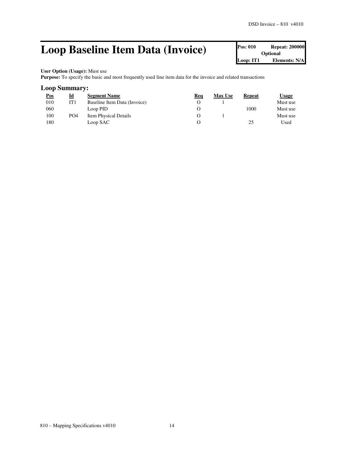## **Loop Baseline Item Data (Invoice)** Pos: 010 Repeat: 200000

**Optional Loop: IT1 Elements: N/A**

#### **User Option (Usage):** Must use

Purpose: To specify the basic and most frequently used line item data for the invoice and related transactions

#### **Loop Summary:**

| Pos | <u>Id</u>       | <b>Segment Name</b>          | Req | <b>Max Use</b> | <b>Repeat</b> | Usage    |
|-----|-----------------|------------------------------|-----|----------------|---------------|----------|
| 010 | IT 1            | Baseline Item Data (Invoice) |     |                |               | Must use |
| 060 |                 | Loop PID                     |     |                | 1000          | Must use |
| 100 | PO <sub>4</sub> | <b>Item Physical Details</b> |     |                |               | Must use |
| 180 |                 | Loop SAC                     |     |                | 25            | Used     |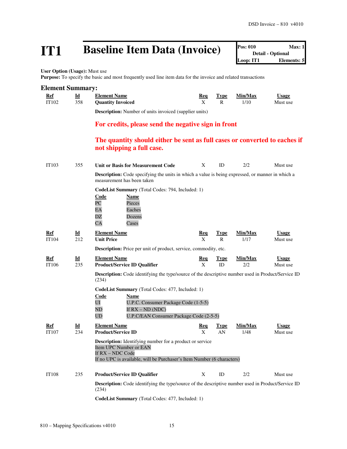## **IT1 Baseline Item Data (Invoice)**

| <b>Pos: 010</b> | Max:1                    |
|-----------------|--------------------------|
|                 | <b>Detail - Optional</b> |
| Loop: IT1       | Elements: 5              |

**User Option (Usage):** Must use

Purpose: To specify the basic and most frequently used line item data for the invoice and related transactions

#### **Element Summary:**

| <b>Ref</b> | $\mathbf{I}$ | <b>Element Name</b>   | Req | Type        | Min/Max | <b>Usage</b> |
|------------|--------------|-----------------------|-----|-------------|---------|--------------|
| IT102      |              | 358 Quantity Invoiced |     | $\mathbf R$ | 1/10    | Must use     |

**Description:** Number of units invoiced (supplier units)

### **For credits, please send the negative sign in front**

### **The quantity should either be sent as full cases or converted to eaches if not shipping a full case.**

| IT103               | 355                              | Unit or Basis for Measurement Code                                                                                                                                                                 | X                          | ID                          | 2/2             | Must use                 |
|---------------------|----------------------------------|----------------------------------------------------------------------------------------------------------------------------------------------------------------------------------------------------|----------------------------|-----------------------------|-----------------|--------------------------|
|                     |                                  | Description: Code specifying the units in which a value is being expressed, or manner in which a<br>measurement has been taken                                                                     |                            |                             |                 |                          |
|                     |                                  | <b>CodeList Summary</b> (Total Codes: 794, Included: 1)<br>Code<br>Name<br>PC<br>Pieces<br>Eaches<br>EA<br>DZ<br>Dozens<br>CA<br>Cases                                                             |                            |                             |                 |                          |
| Ref<br><b>IT104</b> | $\underline{\mathbf{Id}}$<br>212 | <b>Element Name</b><br><b>Unit Price</b>                                                                                                                                                           | <b>Req</b><br>$\mathbf{X}$ | <b>Type</b><br>$\mathsf{R}$ | Min/Max<br>1/17 | <b>Usage</b><br>Must use |
|                     |                                  | <b>Description:</b> Price per unit of product, service, commodity, etc.                                                                                                                            |                            |                             |                 |                          |
| Ref                 | Id                               | <b>Element Name</b>                                                                                                                                                                                | Req                        | <b>Type</b>                 | Min/Max         | <b>Usage</b>             |
| IT106               | 235                              | <b>Product/Service ID Qualifier</b>                                                                                                                                                                | X                          | ID                          | 2/2             | Must use                 |
|                     |                                  | <b>Description:</b> Code identifying the type/source of the descriptive number used in Product/Service ID<br>(234)                                                                                 |                            |                             |                 |                          |
|                     |                                  | CodeList Summary (Total Codes: 477, Included: 1)<br>Code<br><b>Name</b><br>U.P.C. Consumer Package Code (1-5-5)<br>UI<br>If $RX - ND$ (NDC)<br>ND<br>U.P.C/EAN Consumer Package Code (2-5-5)<br>UD |                            |                             |                 |                          |
| Ref                 | $\underline{\mathbf{Id}}$        | <b>Element Name</b>                                                                                                                                                                                | Req                        | <b>Type</b>                 | Min/Max         | <b>Usage</b>             |
| <b>IT107</b>        | 234                              | <b>Product/Service ID</b>                                                                                                                                                                          | X                          | AN                          | 1/48            | Must use                 |
|                     |                                  | <b>Description:</b> Identifying number for a product or service<br>Item UPC Number or EAN<br>If $RX - NDC$ Code<br>If no UPC is available, will be Purchaser's Item Number (6 characters)          |                            |                             |                 |                          |
| <b>IT108</b>        | 235                              | <b>Product/Service ID Qualifier</b>                                                                                                                                                                | X                          | ID                          | 2/2             | Must use                 |
|                     |                                  | <b>Description:</b> Code identifying the type/source of the descriptive number used in Product/Service ID<br>(234)                                                                                 |                            |                             |                 |                          |
|                     |                                  | <b>CodeList Summary</b> (Total Codes: 477, Included: 1)                                                                                                                                            |                            |                             |                 |                          |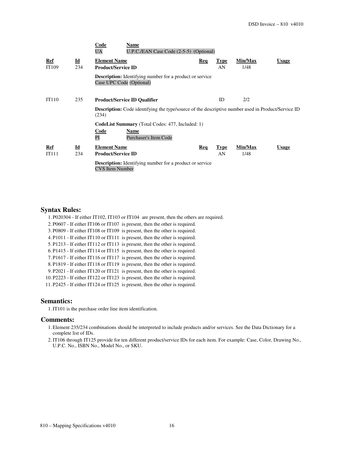|              |                                  | Code<br>Name<br>U.P.C./EAN Case Code (2-5-5) (Optional)<br><b>UA</b>                                               |     |                   |                 |              |
|--------------|----------------------------------|--------------------------------------------------------------------------------------------------------------------|-----|-------------------|-----------------|--------------|
| Ref<br>IT109 | $\underline{\mathbf{Id}}$<br>234 | <b>Element Name</b><br><b>Product/Service ID</b>                                                                   | Req | <b>Type</b><br>AN | Min/Max<br>1/48 | <b>Usage</b> |
|              |                                  | <b>Description:</b> Identifying number for a product or service<br>Case UPC Code (Optional)                        |     |                   |                 |              |
| IT110        | 235                              | <b>Product/Service ID Qualifier</b>                                                                                |     | ID.               | 2/2             |              |
|              |                                  | <b>Description:</b> Code identifying the type/source of the descriptive number used in Product/Service ID<br>(234) |     |                   |                 |              |
|              |                                  | <b>CodeList Summary</b> (Total Codes: 477, Included: 1)                                                            |     |                   |                 |              |
|              |                                  | Code<br>Name<br>PI<br><b>Purchaser's Item Code</b>                                                                 |     |                   |                 |              |
| Ref          | $\underline{\mathbf{Id}}$        | <b>Element Name</b>                                                                                                | Req | <b>Type</b>       | Min/Max         | <b>Usage</b> |
| IT111        | 234                              | <b>Product/Service ID</b>                                                                                          |     | AN                | 1/48            |              |
|              |                                  | <b>Description:</b> Identifying number for a product or service<br><b>CVS</b> Item Number                          |     |                   |                 |              |

#### **Syntax Rules:**

1. P020304 - If either IT102, IT103 or IT104 are present, then the others are required. 2. P0607 - If either IT106 or IT107 is present, then the other is required. 3. P0809 - If either IT108 or IT109 is present, then the other is required. 4. P1011 - If either IT110 or IT111 is present, then the other is required. 5. P1213 - If either IT112 or IT113 is present, then the other is required. 6. P1415 - If either IT114 or IT115 is present, then the other is required. 7. P1617 - If either IT116 or IT117 is present, then the other is required. 8. P1819 - If either IT118 or IT119 is present, then the other is required. 9. P2021 - If either IT120 or IT121 is present, then the other is required. 10. P2223 - If either IT122 or IT123 is present, then the other is required. 11. P2425 - If either IT124 or IT125 is present, then the other is required.

#### **Semantics:**

1.IT101 is the purchase order line item identification.

#### **Comments:**

- 1.Element 235/234 combinations should be interpreted to include products and/or services. See the Data Dictionary for a complete list of IDs.
- 2.IT106 through IT125 provide for ten different product/service IDs for each item. For example: Case, Color, Drawing No., U.P.C. No., ISBN No., Model No., or SKU.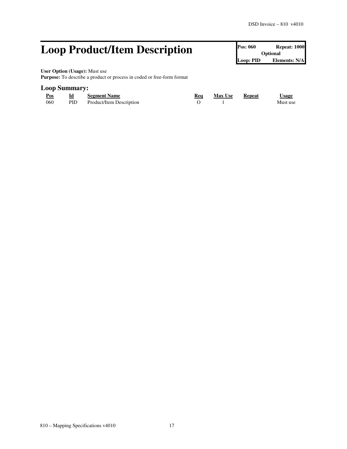## **Loop Product/Item Description Pos: 060 Repeat: 1000 Repeat: 1000**

**Optional Loop: PID Elements: N/A**

**User Option (Usage):** Must use

**Purpose:** To describe a product or process in coded or free-form format

#### **Loop Summary:**

| Pos<br>$\sim$ | Id   | <b>Segment Name</b>      | Req | <b>Max Use</b> | Repeat | $\cup$ sage |
|---------------|------|--------------------------|-----|----------------|--------|-------------|
| 060           | PID. | Product/Item Description |     |                |        | Must use    |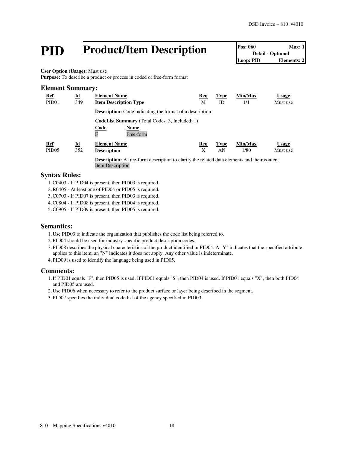# **PID Product/Item Description Pos: 060 Max: 1**<br> **Pos: 060 Detail** - Optional<br> **Loop: PID Elements: 2**

**Detail - Optional Elements: 2** 

**User Option (Usage):** Must use

**Purpose:** To describe a product or process in coded or free-form format

| <b>Element Summary:</b> |                           |                                                                                                                               |     |             |         |              |
|-------------------------|---------------------------|-------------------------------------------------------------------------------------------------------------------------------|-----|-------------|---------|--------------|
| <u>Ref</u>              | <u>Id</u>                 | <b>Element Name</b>                                                                                                           | Req | <b>Type</b> | Min/Max | <b>Usage</b> |
| PID <sub>01</sub>       | 349                       | <b>Item Description Type</b>                                                                                                  | М   | ID          | 1/1     | Must use     |
|                         |                           | <b>Description:</b> Code indicating the format of a description                                                               |     |             |         |              |
|                         |                           | <b>CodeList Summary</b> (Total Codes: 3, Included: 1)                                                                         |     |             |         |              |
|                         |                           | Code<br>Name<br>F<br>Free-form                                                                                                |     |             |         |              |
| <b>Ref</b>              | $\underline{\mathbf{Id}}$ | <b>Element Name</b>                                                                                                           | Req | <b>Type</b> | Min/Max | <b>Usage</b> |
| PID <sub>05</sub>       | 352                       | <b>Description</b>                                                                                                            | X   | AN          | 1/80    | Must use     |
|                         |                           | <b>Description:</b> A free-form description to clarify the related data elements and their content<br><b>Item Description</b> |     |             |         |              |

#### **Syntax Rules:**

- 1.C0403 If PID04 is present, then PID03 is required.
- 2.R0405 At least one of PID04 or PID05 is required.
- 3.C0703 If PID07 is present, then PID03 is required.
- 4.C0804 If PID08 is present, then PID04 is required.

5.C0905 - If PID09 is present, then PID05 is required.

#### **Semantics:**

- 1. Use PID03 to indicate the organization that publishes the code list being referred to.
- 2. PID04 should be used for industry-specific product description codes.
- 3. PID08 describes the physical characteristics of the product identified in PID04. A "Y" indicates that the specified attribute applies to this item; an "N" indicates it does not apply. Any other value is indeterminate.
- 4. PID09 is used to identify the language being used in PID05.

#### **Comments:**

- 1.If PID01 equals "F", then PID05 is used. If PID01 equals "S", then PID04 is used. If PID01 equals "X", then both PID04 and PID05 are used.
- 2. Use PID06 when necessary to refer to the product surface or layer being described in the segment.
- 3. PID07 specifies the individual code list of the agency specified in PID03.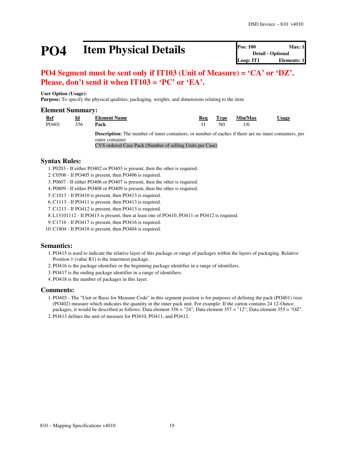# **PO4 Item Physical Details Pos: 100 Max: 1**<br> **Pos: 100 Max: 1**<br> **Detail - Optional**<br> **Loop: IT1 Elements: 1**

### **PO4 Segment must be sent only if IT103 (Unit of Measure) = 'CA' or 'DZ'. Please, don't send it when IT103 = 'PC' or 'EA'.**

#### **User Option (Usage): Purpose:** To specify the physical qualities, packaging, weights, and dimensions relating to the item

#### **Element Summary:**

| Ref   | Id  | <b>Element Name</b>                                                                                      | Rea |     | Type Min/Max | <b>Usage</b> |
|-------|-----|----------------------------------------------------------------------------------------------------------|-----|-----|--------------|--------------|
| PO401 | 356 | Pack                                                                                                     |     | N() |              |              |
|       |     | <b>Description:</b> The number of inner containers, or number of eaches if there are no inner containers |     |     |              |              |

**Description:** The number of inner containers, or number of eaches if there are no inner containers, per outer container

CVS ordered Case Pack (Number of selling Units per Case)

### **Syntax Rules:**

1. P0203 - If either PO402 or PO403 is present, then the other is required.

2.C0506 - If PO405 is present, then PO406 is required.

3. P0607 - If either PO406 or PO407 is present, then the other is required.

4. P0809 - If either PO408 or PO409 is present, then the other is required.

5.C1013 - If PO410 is present, then PO413 is required.

6.C1113 - If PO411 is present, then PO413 is required.

7.C1213 - If PO412 is present, then PO413 is required.

8.L13101112 - If PO413 is present, then at least one of PO410, PO411 or PO412 is required.

9.C1716 - If PO417 is present, then PO416 is required.

10.C1804 - If PO418 is present, then PO404 is required.

### **Semantics:**

1. PO415 is used to indicate the relative layer of this package or range of packages within the layers of packaging. Relative Position 1 (value R1) is the innermost package.

- 2. PO416 is the package identifier or the beginning package identifier in a range of identifiers.
- 3. PO417 is the ending package identifier in a range of identifiers.
- 4. PO418 is the number of packages in this layer.

### **Comments:**

1. PO403 - The "Unit or Basis for Measure Code" in this segment position is for purposes of defining the pack (PO401) /size (PO402) measure which indicates the quantity in the inner pack unit. For example: If the carton contains 24 12-Ounce packages, it would be described as follows: Data element 356 = "24"; Data element 357 = "12"; Data element 355 = "OZ".

2. PO413 defines the unit of measure for PO410, PO411, and PO412.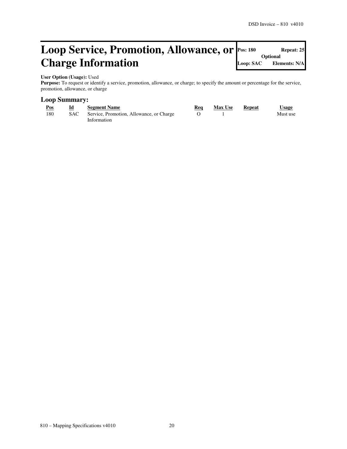#### **Loop Service, Promotion, Allowance, or Charge Information Repeat: 25 Optional Loop: SAC Elements: N/A**

#### **User Option (Usage):** Used

Purpose: To request or identify a service, promotion, allowance, or charge; to specify the amount or percentage for the service, promotion, allowance, or charge

#### **Loop Summary:**

| Pos | Id | <b>Segment Name</b>                          | Req | <b>Max Use</b> | Repeat | <b>Usage</b> |
|-----|----|----------------------------------------------|-----|----------------|--------|--------------|
| 180 |    | SAC Service, Promotion, Allowance, or Charge |     |                |        | Must use     |
|     |    | Information                                  |     |                |        |              |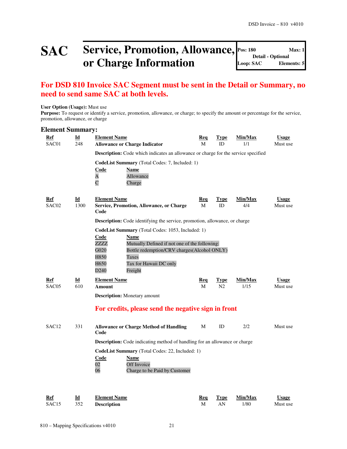## SAC **Service, Promotion, Allowance, Pos: 180 Max: 1 Max:** 1 **or Charge Information**

**Detail - Optional Loop: SAC Elements: 5**

### **For DSD 810 Invoice SAC Segment must be sent in the Detail or Summary, no need to send same SAC at both levels.**

#### **User Option (Usage):** Must use

Purpose: To request or identify a service, promotion, allowance, or charge; to specify the amount or percentage for the service, promotion, allowance, or charge

#### **Element Summary:**

| Ref                 | $\underline{\mathbf{Id}}$         | <b>Element Name</b>                                                                                          | <b>Req</b>      | <b>Type</b>       | Min/Max        | <b>Usage</b>             |
|---------------------|-----------------------------------|--------------------------------------------------------------------------------------------------------------|-----------------|-------------------|----------------|--------------------------|
| SAC01               | 248                               | <b>Allowance or Charge Indicator</b>                                                                         | M               | <b>ID</b>         | 1/1            | Must use                 |
|                     |                                   | Description: Code which indicates an allowance or charge for the service specified                           |                 |                   |                |                          |
|                     |                                   | CodeList Summary (Total Codes: 7, Included: 1)<br>Code<br>Name                                               |                 |                   |                |                          |
|                     |                                   | Allowance<br>A                                                                                               |                 |                   |                |                          |
|                     |                                   | $\overline{C}$<br>Charge                                                                                     |                 |                   |                |                          |
|                     |                                   |                                                                                                              |                 |                   |                |                          |
| <u>Ref</u><br>SAC02 | $\underline{\mathbf{Id}}$<br>1300 | <b>Element Name</b><br>Service, Promotion, Allowance, or Charge                                              | <u>Req</u><br>M | <b>Type</b><br>ID | Min/Max<br>4/4 | <b>Usage</b><br>Must use |
|                     |                                   | Code                                                                                                         |                 |                   |                |                          |
|                     |                                   | <b>Description:</b> Code identifying the service, promotion, allowance, or charge                            |                 |                   |                |                          |
|                     |                                   | CodeList Summary (Total Codes: 1053, Included: 1)                                                            |                 |                   |                |                          |
|                     |                                   | <b>Code</b><br><b>Name</b>                                                                                   |                 |                   |                |                          |
|                     |                                   | ZZZZ<br>Mutually Defined if not one of the following:<br>Bottle redemption/CRV charges(Alcohol ONLY)<br>G020 |                 |                   |                |                          |
|                     |                                   | H850<br>Taxes                                                                                                |                 |                   |                |                          |
|                     |                                   | H650<br>Tax for Hawaii DC only                                                                               |                 |                   |                |                          |
|                     |                                   | D <sub>240</sub><br>Freight                                                                                  |                 |                   |                |                          |
| Ref                 | Id                                | <b>Element Name</b>                                                                                          | Req             | <b>Type</b>       | Min/Max        | <b>Usage</b>             |
| SAC <sub>05</sub>   | 610                               | Amount                                                                                                       | M               | N2                | 1/15           | Must use                 |
|                     |                                   | <b>Description:</b> Monetary amount                                                                          |                 |                   |                |                          |
|                     |                                   | For credits, please send the negative sign in front                                                          |                 |                   |                |                          |
| SAC <sub>12</sub>   | 331                               | <b>Allowance or Charge Method of Handling</b><br>Code                                                        | M               | ID                | 2/2            | Must use                 |
|                     |                                   | <b>Description:</b> Code indicating method of handling for an allowance or charge                            |                 |                   |                |                          |
|                     |                                   | CodeList Summary (Total Codes: 22, Included: 1)                                                              |                 |                   |                |                          |
|                     |                                   | <b>Code</b><br><b>Name</b>                                                                                   |                 |                   |                |                          |
|                     |                                   | 02<br>Off Invoice<br>06<br>Charge to be Paid by Customer                                                     |                 |                   |                |                          |
|                     |                                   |                                                                                                              |                 |                   |                |                          |
|                     |                                   |                                                                                                              |                 |                   |                |                          |

| Ref       | Id | <b>Element Name</b> | Req | <b>Type</b> | Min/Max | <b>Usage</b> |
|-----------|----|---------------------|-----|-------------|---------|--------------|
| SAC15 352 |    | Description         | M   |             | 1/80    | Must use     |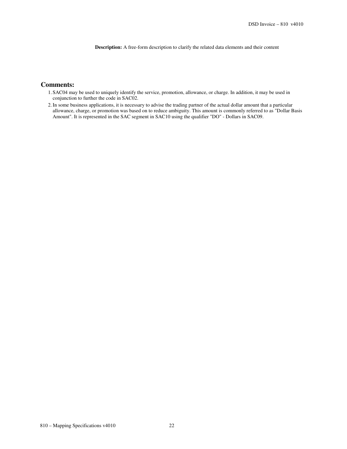**Description:** A free-form description to clarify the related data elements and their content

#### **Comments:**

- 1. SAC04 may be used to uniquely identify the service, promotion, allowance, or charge. In addition, it may be used in conjunction to further the code in SAC02.
- 2.In some business applications, it is necessary to advise the trading partner of the actual dollar amount that a particular allowance, charge, or promotion was based on to reduce ambiguity. This amount is commonly referred to as "Dollar Basis Amount". It is represented in the SAC segment in SAC10 using the qualifier "DO" - Dollars in SAC09.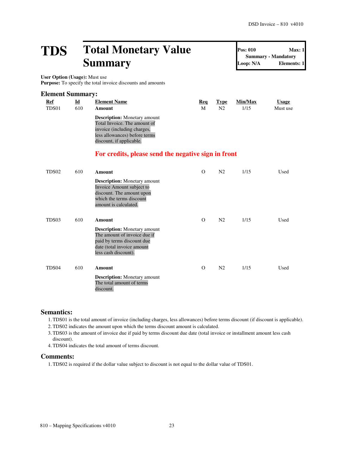## **TDS Total Monetary Value Summary**

**Summary - Mandatory Loop: N/A Elements: 1**

**Pos: 010 Max: 1**

**User Option (Usage):** Must use Purpose: To specify the total invoice discounts and amounts

| Id  | <b>Element Name</b>                                                                                                                                             | Req | Type | Min/Max                 | <u>Usage</u> |
|-----|-----------------------------------------------------------------------------------------------------------------------------------------------------------------|-----|------|-------------------------|--------------|
| 610 | Amount                                                                                                                                                          | М   | N2   | 1/15                    | Must use     |
|     | <b>Description:</b> Monetary amount<br>Total Invoice. The amount of<br>invoice (including charges,<br>less allowances) before terms<br>discount, if applicable. |     |      |                         |              |
|     |                                                                                                                                                                 |     |      | <b>Element Summary:</b> |              |

### **For credits, please send the negative sign in front**

| TDS02             | 610 | Amount                                                                                                                                                  | $\Omega$ | N <sub>2</sub> | 1/15 | Used |
|-------------------|-----|---------------------------------------------------------------------------------------------------------------------------------------------------------|----------|----------------|------|------|
|                   |     | <b>Description:</b> Monetary amount<br>Invoice Amount subject to<br>discount. The amount upon<br>which the terms discount<br>amount is calculated.      |          |                |      |      |
| TDS03             | 610 | <b>Amount</b>                                                                                                                                           | $\Omega$ | N <sub>2</sub> | 1/15 | Used |
|                   |     | <b>Description:</b> Monetary amount<br>The amount of invoice due if<br>paid by terms discount due<br>date (total invoice amount<br>less cash discount). |          |                |      |      |
| TDS <sub>04</sub> | 610 | Amount                                                                                                                                                  | O        | N <sub>2</sub> | 1/15 | Used |
|                   |     | <b>Description:</b> Monetary amount<br>The total amount of terms<br>discount.                                                                           |          |                |      |      |

#### **Semantics:**

1.TDS01 is the total amount of invoice (including charges, less allowances) before terms discount (if discount is applicable).

2.TDS02 indicates the amount upon which the terms discount amount is calculated.

3.TDS03 is the amount of invoice due if paid by terms discount due date (total invoice or installment amount less cash discount).

4.TDS04 indicates the total amount of terms discount.

#### **Comments:**

1.TDS02 is required if the dollar value subject to discount is not equal to the dollar value of TDS01.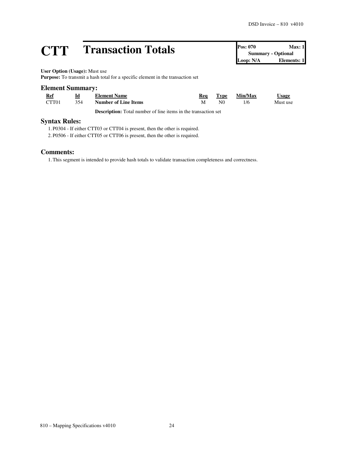# **CTT Transaction Totals Pos: 070 Max: 1**<br> **CTT CONS Elements: 1**<br> **COOP: N/A Elements: 1**

**Summary - Optional** Loop: N/A

**User Option (Usage):** Must use

**Purpose:** To transmit a hash total for a specific element in the transaction set

#### **Element Summary:**

| <b>Ref</b> | Id  | <b>Element Name</b>         | Rea | Type           | Min/Max | <b>Usage</b> |
|------------|-----|-----------------------------|-----|----------------|---------|--------------|
| CTT01      | 354 | <b>Number of Line Items</b> | М   | N <sub>0</sub> | 1/6     | Must use     |

**Description:** Total number of line items in the transaction set

#### **Syntax Rules:**

1. P0304 - If either CTT03 or CTT04 is present, then the other is required.

2. P0506 - If either CTT05 or CTT06 is present, then the other is required.

#### **Comments:**

1.This segment is intended to provide hash totals to validate transaction completeness and correctness.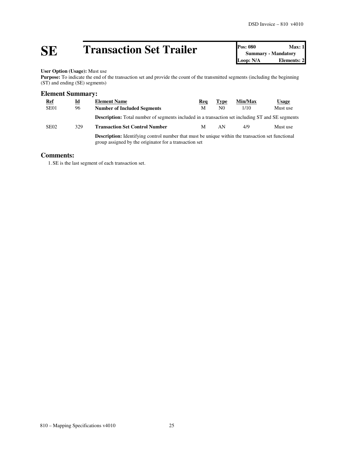# **SE Transaction Set Trailer Pos: 080 Max: 1**<br> **Doop: N/A Depertures: 1**<br> **Doop: N/A Elements: 2**

**Summary - Mandatory Elements: 2** 

**User Option (Usage):** Must use

Purpose: To indicate the end of the transaction set and provide the count of the transmitted segments (including the beginning (ST) and ending (SE) segments)

### **Element Summary:**

| <b>Ref</b>       | Id  | <b>Element Name</b>                                                                                                                                                | Req | <b>Type</b>    | Min/Max | Usage    |
|------------------|-----|--------------------------------------------------------------------------------------------------------------------------------------------------------------------|-----|----------------|---------|----------|
| SE <sub>01</sub> | 96  | <b>Number of Included Segments</b>                                                                                                                                 | M   | N <sub>0</sub> | 1/10    | Must use |
|                  |     | <b>Description:</b> Total number of segments included in a transaction set including ST and SE segments                                                            |     |                |         |          |
| SE <sub>02</sub> | 329 | <b>Transaction Set Control Number</b>                                                                                                                              | M   | AN             | 4/9     | Must use |
|                  |     | <b>Description:</b> Identifying control number that must be unique within the transaction set functional<br>group assigned by the originator for a transaction set |     |                |         |          |

#### **Comments:**

1. SE is the last segment of each transaction set.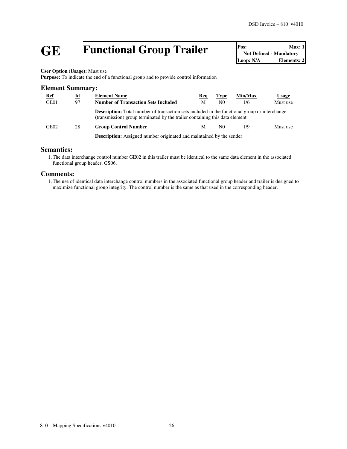# **GE Functional Group Trailer Pos:** Max: 1<br>
Not Defined - Mandatory<br>
Loop: N/A<br> **Elements: 2**

**Not Defined - Mandatory** Loop: N/A

**User Option (Usage):** Must use

**Purpose:** To indicate the end of a functional group and to provide control information

| <b>Element Summary:</b> |    |                                                                                                                                                                                     |     |                |         |              |  |  |  |
|-------------------------|----|-------------------------------------------------------------------------------------------------------------------------------------------------------------------------------------|-----|----------------|---------|--------------|--|--|--|
| <u>Ref</u>              | Id | <b>Element Name</b>                                                                                                                                                                 | Req | <b>Type</b>    | Min/Max | <u>Usage</u> |  |  |  |
| GE01                    | 97 | <b>Number of Transaction Sets Included</b>                                                                                                                                          | M   | N <sub>0</sub> | 1/6     | Must use     |  |  |  |
|                         |    | <b>Description:</b> Total number of transaction sets included in the functional group or interchange<br>(transmission) group terminated by the trailer containing this data element |     |                |         |              |  |  |  |
| GE02                    | 28 | <b>Group Control Number</b>                                                                                                                                                         | M   | N0             | 1/9     | Must use     |  |  |  |
|                         |    | <b>Description:</b> Assigned number originated and maintained by the sender                                                                                                         |     |                |         |              |  |  |  |

#### **Semantics:**

1.The data interchange control number GE02 in this trailer must be identical to the same data element in the associated functional group header, GS06.

#### **Comments:**

1.The use of identical data interchange control numbers in the associated functional group header and trailer is designed to maximize functional group integrity. The control number is the same as that used in the corresponding header.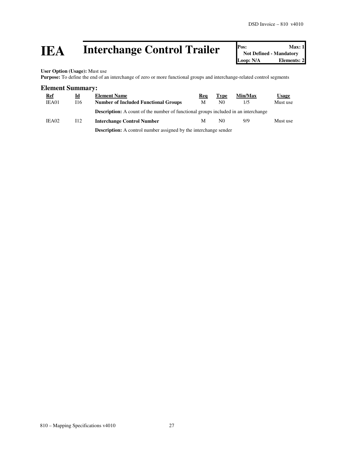# **IEA** Interchange Control Trailer **Posi** Not Defined - Mandatory Loop: N/A Elements: 2

**User Option (Usage):** Must use

Purpose: To define the end of an interchange of zero or more functional groups and interchange-related control segments

#### **Element Summary:**

| <u>Ref</u><br>IEA01 | <u>ld</u><br>116 | <b>Element Name</b><br><b>Number of Included Functional Groups</b>                        | Reg<br>М | <b>Type</b><br>N <sub>0</sub> | Min/Max<br>1/5 | <u>Usage</u><br>Must use |
|---------------------|------------------|-------------------------------------------------------------------------------------------|----------|-------------------------------|----------------|--------------------------|
|                     |                  | <b>Description:</b> A count of the number of functional groups included in an interchange |          |                               |                |                          |
| IEA02               | 112              | <b>Interchange Control Number</b>                                                         | M        | N <sub>0</sub>                | 9/9            | Must use                 |
|                     |                  | <b>Description:</b> A control number assigned by the interchange sender                   |          |                               |                |                          |